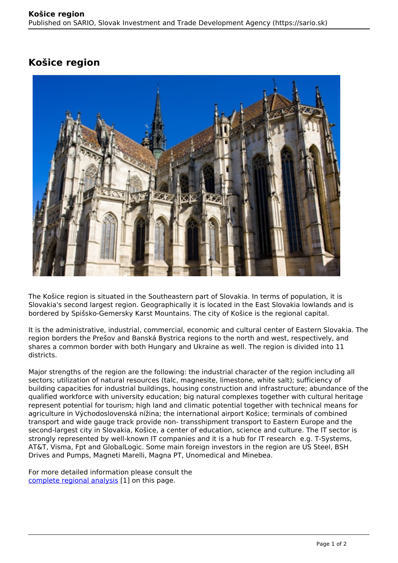## **Košice region**



The Košice region is situated in the Southeastern part of Slovakia. In terms of population, it is Slovakia's second largest region. Geographically it is located in the East Slovakia lowlands and is bordered by Spišsko-Gemersky Karst Mountains. The city of Košice is the regional capital.

It is the administrative, industrial, commercial, economic and cultural center of Eastern Slovakia. The region borders the Prešov and Banská Bystrica regions to the north and west, respectively, and shares a common border with both Hungary and Ukraine as well. The region is divided into 11 districts.

Major strengths of the region are the following: the industrial character of the region including all sectors; utilization of natural resources (talc, magnesite, limestone, white salt); sufficiency of building capacities for industrial buildings, housing construction and infrastructure; abundance of the qualified workforce with university education; big natural complexes together with cultural heritage represent potential for tourism; high land and climatic potential together with technical means for agriculture in Východoslovenská nížina; the international airport Košice; terminals of combined transport and wide gauge track provide non- transshipment transport to Eastern Europe and the second-largest city in Slovakia, Košice, a center of education, science and culture. The IT sector is strongly represented by well-known IT companies and it is a hub for IT research e.g. T-Systems, AT&T, Visma, Fpt and GlobalLogic. Some main foreign investors in the region are US Steel, BSH Drives and Pumps, Magneti Marelli, Magna PT, Unomedical and Minebea.

For more detailed information please consult the [complete regional analysis](https://www.sario.sk/sites/default/files/content/files/Kosice%20Region.pdf) [1] on this page.